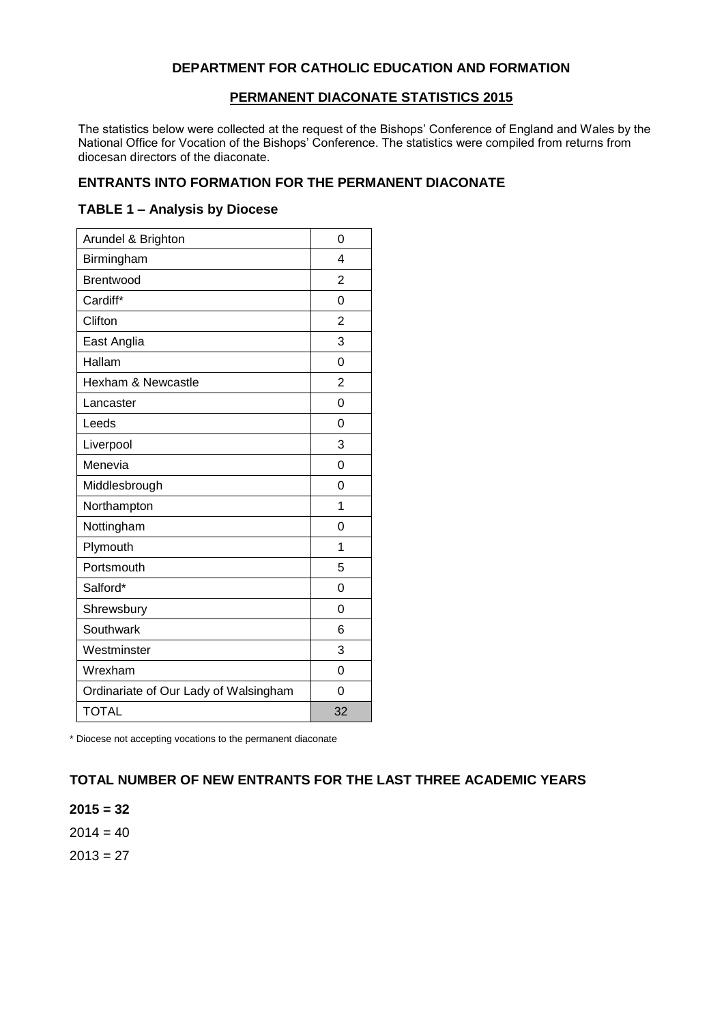### **DEPARTMENT FOR CATHOLIC EDUCATION AND FORMATION**

#### **PERMANENT DIACONATE STATISTICS 2015**

The statistics below were collected at the request of the Bishops' Conference of England and Wales by the National Office for Vocation of the Bishops' Conference. The statistics were compiled from returns from diocesan directors of the diaconate.

### **ENTRANTS INTO FORMATION FOR THE PERMANENT DIACONATE**

#### **TABLE 1 – Analysis by Diocese**

| Arundel & Brighton                    | 0              |
|---------------------------------------|----------------|
| Birmingham                            | 4              |
| Brentwood                             | 2              |
| Cardiff*                              | 0              |
| Clifton                               | $\overline{2}$ |
| East Anglia                           | 3              |
| Hallam                                | $\Omega$       |
| <b>Hexham &amp; Newcastle</b>         | $\overline{2}$ |
| Lancaster                             | 0              |
| Leeds                                 | 0              |
| Liverpool                             | 3              |
| Menevia                               | 0              |
| Middlesbrough                         | 0              |
| Northampton                           | 1              |
| Nottingham                            | 0              |
| Plymouth                              | 1              |
| Portsmouth                            | 5              |
| Salford*                              | 0              |
| Shrewsbury                            | $\Omega$       |
| Southwark                             | 6              |
| Westminster                           | 3              |
| Wrexham                               | $\Omega$       |
| Ordinariate of Our Lady of Walsingham | 0              |
| <b>TOTAL</b>                          | 32             |

\* Diocese not accepting vocations to the permanent diaconate

## **TOTAL NUMBER OF NEW ENTRANTS FOR THE LAST THREE ACADEMIC YEARS**

**2015 = 32**  $2014 = 40$  $2013 = 27$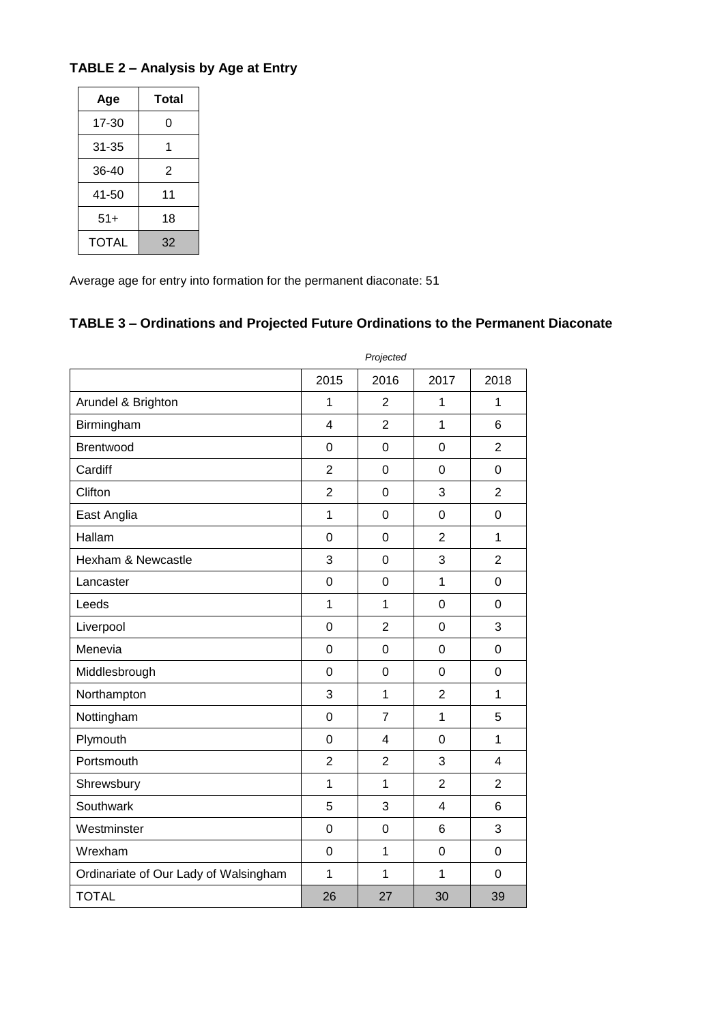| Age   | Total |  |  |
|-------|-------|--|--|
| 17-30 | 0     |  |  |
| 31-35 | 1     |  |  |
| 36-40 | 2     |  |  |
| 41-50 | 11    |  |  |
| $51+$ | 18    |  |  |
| TOTAL | 32    |  |  |

## **TABLE 2 – Analysis by Age at Entry**

Average age for entry into formation for the permanent diaconate: 51

## **TABLE 3 – Ordinations and Projected Future Ordinations to the Permanent Diaconate**

|                                       | Projected               |                |                |                         |
|---------------------------------------|-------------------------|----------------|----------------|-------------------------|
|                                       | 2015                    | 2016           | 2017           | 2018                    |
| Arundel & Brighton                    | $\mathbf 1$             | $\overline{2}$ | 1              | 1                       |
| Birmingham                            | $\overline{\mathbf{4}}$ | $\overline{2}$ | $\overline{1}$ | 6                       |
| <b>Brentwood</b>                      | 0                       | 0              | $\overline{0}$ | $\overline{2}$          |
| Cardiff                               | $\overline{2}$          | 0              | $\mathbf 0$    | 0                       |
| Clifton                               | $\overline{2}$          | 0              | 3              | $\overline{2}$          |
| East Anglia                           | $\mathbf{1}$            | $\mathbf 0$    | $\mathbf 0$    | $\mathbf 0$             |
| Hallam                                | $\overline{0}$          | $\mathbf 0$    | $\overline{2}$ | 1                       |
| Hexham & Newcastle                    | 3                       | $\mathbf 0$    | 3              | $\overline{2}$          |
| Lancaster                             | 0                       | 0              | $\overline{1}$ | 0                       |
| Leeds                                 | $\mathbf{1}$            | 1              | $\overline{0}$ | 0                       |
| Liverpool                             | $\overline{0}$          | $\overline{2}$ | $\mathbf 0$    | 3                       |
| Menevia                               | $\overline{0}$          | 0              | $\overline{0}$ | $\overline{0}$          |
| Middlesbrough                         | $\overline{0}$          | 0              | $\overline{0}$ | $\overline{0}$          |
| Northampton                           | 3                       | $\mathbf{1}$   | $\overline{2}$ | 1                       |
| Nottingham                            | $\overline{0}$          | $\overline{7}$ | $\mathbf{1}$   | 5                       |
| Plymouth                              | $\mathbf 0$             | $\overline{4}$ | $\mathbf 0$    | $\mathbf 1$             |
| Portsmouth                            | $\overline{2}$          | $\overline{2}$ | 3              | $\overline{\mathbf{4}}$ |
| Shrewsbury                            | $\mathbf{1}$            | 1              | $\overline{2}$ | $\overline{2}$          |
| Southwark                             | 5                       | 3              | $\overline{4}$ | 6                       |
| Westminster                           | $\mathbf 0$             | 0              | 6              | 3                       |
| Wrexham                               | 0                       | 1              | 0              | 0                       |
| Ordinariate of Our Lady of Walsingham | $\mathbf{1}$            | 1              | 1              | 0                       |
| <b>TOTAL</b>                          | 26                      | 27             | 30             | 39                      |